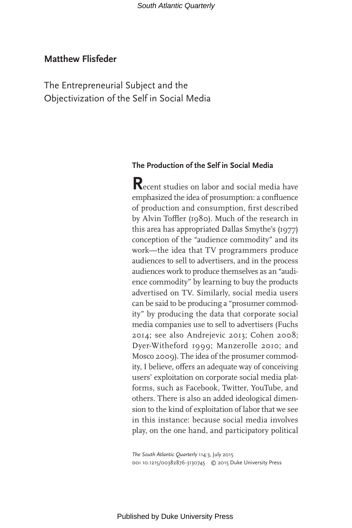# **Matthew Flisfeder**

The Entrepreneurial Subject and the Objectivization of the Self in Social Media

## **The Production of the Self in Social Media**

**R**ecent studies on labor and social media have emphasized the idea of prosumption: a confluence of production and consumption, first described by Alvin Toffler (1980). Much of the research in this area has appropriated Dallas Smythe's (1977) conception of the "audience commodity" and its work—the idea that TV programmers produce audiences to sell to advertisers, and in the process audiences work to produce themselves as an "audience commodity" by learning to buy the products advertised on TV. Similarly, social media users can be said to be producing a "prosumer commodity" by producing the data that corporate social media companies use to sell to advertisers (Fuchs 2014; see also Andrejevic 2013; Cohen 2008; Dyer-Witheford 1999; Manzerolle 2010; and Mosco 2009). The idea of the prosumer commodity, I believe, offers an adequate way of conceiving users' exploitation on corporate social media platforms, such as Facebook, Twitter, YouTube, and others. There is also an added ideological dimension to the kind of exploitation of labor that we see in this instance: because social media involves play, on the one hand, and participatory political

*The South Atlantic Quarterly* 114:3, July 2015 doi 10.1215/00382876-3130745 © 2015 Duke University Press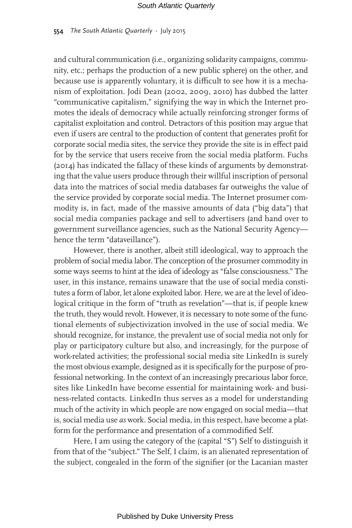#### **554** *The South Atlantic Quarterly* • July 2015

and cultural communication (i.e., organizing solidarity campaigns, community, etc.; perhaps the production of a new public sphere) on the other, and because use is apparently voluntary, it is difficult to see how it is a mechanism of exploitation. Jodi Dean (2002, 2009, 2010) has dubbed the latter "communicative capitalism," signifying the way in which the Internet promotes the ideals of democracy while actually reinforcing stronger forms of capitalist exploitation and control. Detractors of this position may argue that even if users are central to the production of content that generates profit for corporate social media sites, the service they provide the site is in effect paid for by the service that users receive from the social media platform. Fuchs (2014) has indicated the fallacy of these kinds of arguments by demonstrating that the value users produce through their willful inscription of personal data into the matrices of social media databases far outweighs the value of the service provided by corporate social media. The Internet prosumer commodity is, in fact, made of the massive amounts of data ("big data") that social media companies package and sell to advertisers (and hand over to government surveillance agencies, such as the National Security Agency hence the term "dataveillance").

However, there is another, albeit still ideological, way to approach the problem of social media labor. The conception of the prosumer commodity in some ways seems to hint at the idea of ideology as "false consciousness." The user, in this instance, remains unaware that the use of social media constitutes a form of labor, let alone exploited labor. Here, we are at the level of ideological critique in the form of "truth as revelation"—that is, if people knew the truth, they would revolt. However, it is necessary to note some of the functional elements of subjectivization involved in the use of social media. We should recognize, for instance, the prevalent use of social media not only for play or participatory culture but also, and increasingly, for the purpose of work-related activities; the professional social media site LinkedIn is surely the most obvious example, designed as it is specifically for the purpose of professional networking. In the context of an increasingly precarious labor force, sites like LinkedIn have become essential for maintaining work- and business-related contacts. LinkedIn thus serves as a model for understanding much of the activity in which people are now engaged on social media—that is, social media use *as* work. Social media, in this respect, have become a platform for the performance and presentation of a commodified Self.

Here, I am using the category of the (capital "S") Self to distinguish it from that of the "subject." The Self, I claim, is an alienated representation of the subject, congealed in the form of the signifier (or the Lacanian master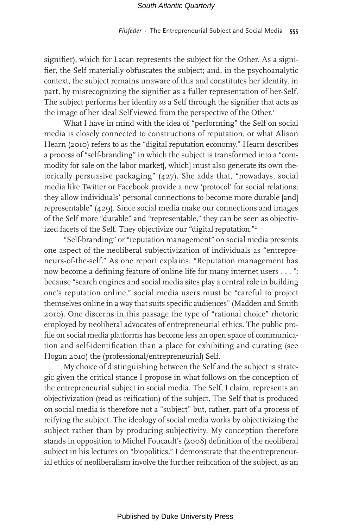signifier), which for Lacan represents the subject for the Other. As a signifier, the Self materially obfuscates the subject; and, in the psychoanalytic context, the subject remains unaware of this and constitutes her identity, in part, by misrecognizing the signifier as a fuller representation of her-Self. The subject performs her identity *as* a Self through the signifier that acts as the image of her ideal Self viewed from the perspective of the Other.<sup>1</sup>

What I have in mind with the idea of "performing" the Self on social media is closely connected to constructions of reputation, or what Alison Hearn (2010) refers to as the "digital reputation economy." Hearn describes a process of "self-branding" in which the subject is transformed into a "commodity for sale on the labor market[, which] must also generate its own rhetorically persuasive packaging" (427). She adds that, "nowadays, social media like Twitter or Facebook provide a new 'protocol' for social relations; they allow individuals' personal connections to become more durable [and] representable" (429). Since social media make our connections and images of the Self more "durable" and "representable," they can be seen as objectivized facets of the Self. They objectivize our "digital reputation."<sup>2</sup>

"Self-branding" or "reputation management" on social media presents one aspect of the neoliberal subjectivization of individuals as "entrepreneurs-of-the-self." As one report explains, "Reputation management has now become a defining feature of online life for many internet users . . . "; because "search engines and social media sites play a central role in building one's reputation online," social media users must be "careful to project themselves online in a way that suits specific audiences" (Madden and Smith 2010). One discerns in this passage the type of "rational choice" rhetoric employed by neoliberal advocates of entrepreneurial ethics. The public profile on social media platforms has become less an open space of communication and self-identification than a place for exhibiting and curating (see Hogan 2010) the (professional/entrepreneurial) Self.

My choice of distinguishing between the Self and the subject is strategic given the critical stance I propose in what follows on the conception of the entrepreneurial subject in social media. The Self, I claim, represents an objectivization (read as reification) of the subject. The Self that is produced on social media is therefore not a "subject" but, rather, part of a process of reifying the subject. The ideology of social media works by objectivizing the subject rather than by producing subjectivity. My conception therefore stands in opposition to Michel Foucault's (2008) definition of the neoliberal subject in his lectures on "biopolitics." I demonstrate that the entrepreneurial ethics of neoliberalism involve the further reification of the subject, as an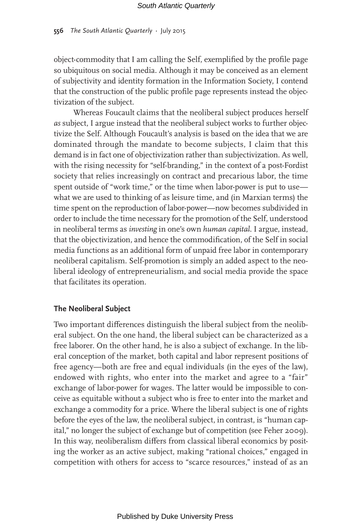object-commodity that I am calling the Self, exemplified by the profile page so ubiquitous on social media. Although it may be conceived as an element of subjectivity and identity formation in the Information Society, I contend that the construction of the public profile page represents instead the objectivization of the subject.

Whereas Foucault claims that the neoliberal subject produces herself *as* subject, I argue instead that the neoliberal subject works to further objectivize the Self. Although Foucault's analysis is based on the idea that we are dominated through the mandate to become subjects, I claim that this demand is in fact one of objectivization rather than subjectivization. As well, with the rising necessity for "self-branding," in the context of a post-Fordist society that relies increasingly on contract and precarious labor, the time spent outside of "work time," or the time when labor-power is put to use what we are used to thinking of as leisure time, and (in Marxian terms) the time spent on the reproduction of labor-power—now becomes subdivided in order to include the time necessary for the promotion of the Self, understood in neoliberal terms as *investing* in one's own *human capital*. I argue, instead, that the objectivization, and hence the commodification, of the Self in social media functions as an additional form of unpaid free labor in contemporary neoliberal capitalism. Self-promotion is simply an added aspect to the neoliberal ideology of entrepreneurialism, and social media provide the space that facilitates its operation.

### **The Neoliberal Subject**

Two important differences distinguish the liberal subject from the neoliberal subject. On the one hand, the liberal subject can be characterized as a free laborer. On the other hand, he is also a subject of exchange. In the liberal conception of the market, both capital and labor represent positions of free agency—both are free and equal individuals (in the eyes of the law), endowed with rights, who enter into the market and agree to a "fair" exchange of labor-power for wages. The latter would be impossible to conceive as equitable without a subject who is free to enter into the market and exchange a commodity for a price. Where the liberal subject is one of rights before the eyes of the law, the neoliberal subject, in contrast, is "human capital," no longer the subject of exchange but of competition (see Feher 2009). In this way, neoliberalism differs from classical liberal economics by positing the worker as an active subject, making "rational choices," engaged in competition with others for access to "scarce resources," instead of as an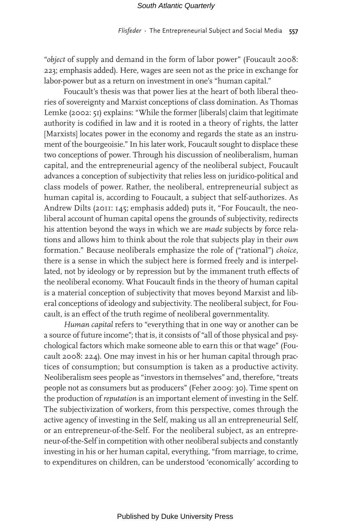"*object* of supply and demand in the form of labor power" (Foucault 2008: 223; emphasis added). Here, wages are seen not as the price in exchange for labor-power but as a return on investment in one's "human capital."

Foucault's thesis was that power lies at the heart of both liberal theories of sovereignty and Marxist conceptions of class domination. As Thomas Lemke (2002: 51) explains: "While the former [liberals] claim that legitimate authority is codified in law and it is rooted in a theory of rights, the latter [Marxists] locates power in the economy and regards the state as an instrument of the bourgeoisie." In his later work, Foucault sought to displace these two conceptions of power. Through his discussion of neoliberalism, human capital, and the entrepreneurial agency of the neoliberal subject, Foucault advances a conception of subjectivity that relies less on juridico-political and class models of power. Rather, the neoliberal, entrepreneurial subject as human capital is, according to Foucault, a subject that self-authorizes. As Andrew Dilts (2011: 145; emphasis added) puts it, "For Foucault, the neoliberal account of human capital opens the grounds of subjectivity, redirects his attention beyond the ways in which we are *made* subjects by force relations and allows him to think about the role that subjects play in their *own* formation." Because neoliberals emphasize the role of ("rational") *choice*, there is a sense in which the subject here is formed freely and is interpellated, not by ideology or by repression but by the immanent truth effects of the neoliberal economy. What Foucault finds in the theory of human capital is a material conception of subjectivity that moves beyond Marxist and liberal conceptions of ideology and subjectivity. The neoliberal subject, for Foucault, is an effect of the truth regime of neoliberal governmentality.

*Human capital* refers to "everything that in one way or another can be a source of future income"; that is, it consists of "all of those physical and psychological factors which make someone able to earn this or that wage" (Foucault 2008: 224). One may invest in his or her human capital through practices of consumption; but consumption is taken as a productive activity. Neoliberalism sees people as "investors in themselves" and, therefore, "treats people not as consumers but as producers" (Feher 2009: 30). Time spent on the production of *reputation* is an important element of investing in the Self. The subjectivization of workers, from this perspective, comes through the active agency of investing in the Self, making us all an entrepreneurial Self, or an entrepreneur-of-the-Self. For the neoliberal subject, as an entrepreneur-of-the-Self in competition with other neoliberal subjects and constantly investing in his or her human capital, everything, "from marriage, to crime, to expenditures on children, can be understood 'economically' according to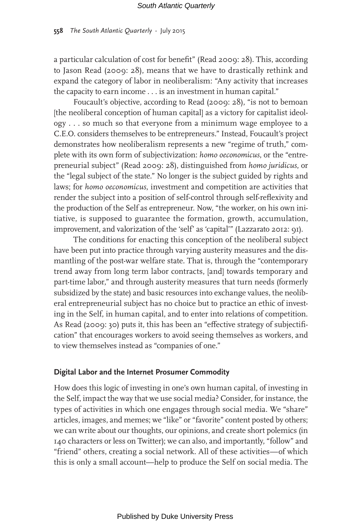a particular calculation of cost for benefit" (Read 2009: 28). This, according to Jason Read (2009: 28), means that we have to drastically rethink and expand the category of labor in neoliberalism: "Any activity that increases the capacity to earn income . . . is an investment in human capital."

Foucault's objective, according to Read (2009: 28), "is not to bemoan [the neoliberal conception of human capital] as a victory for capitalist ideology . . . so much so that everyone from a minimum wage employee to a C.E.O. considers themselves to be entrepreneurs." Instead, Foucault's project demonstrates how neoliberalism represents a new "regime of truth," complete with its own form of subjectivization: *homo oeconomicus*, or the "entrepreneurial subject" (Read 2009: 28), distinguished from *homo juridicus*, or the "legal subject of the state." No longer is the subject guided by rights and laws; for *homo oeconomicus*, investment and competition are activities that render the subject into a position of self-control through self-reflexivity and the production of the Self as entrepreneur. Now, "the worker, on his own initiative, is supposed to guarantee the formation, growth, accumulation, improvement, and valorization of the 'self' as 'capital'" (Lazzarato 2012: 91).

The conditions for enacting this conception of the neoliberal subject have been put into practice through varying austerity measures and the dismantling of the post-war welfare state. That is, through the "contemporary trend away from long term labor contracts, [and] towards temporary and part-time labor," and through austerity measures that turn needs (formerly subsidized by the state) and basic resources into exchange values, the neoliberal entrepreneurial subject has no choice but to practice an ethic of investing in the Self, in human capital, and to enter into relations of competition. As Read (2009: 30) puts it, this has been an "effective strategy of subjectification" that encourages workers to avoid seeing themselves as workers, and to view themselves instead as "companies of one."

#### **Digital Labor and the Internet Prosumer Commodity**

How does this logic of investing in one's own human capital, of investing in the Self, impact the way that we use social media? Consider, for instance, the types of activities in which one engages through social media. We "share" articles, images, and memes; we "like" or "favorite" content posted by others; we can write about our thoughts, our opinions, and create short polemics (in 140 characters or less on Twitter); we can also, and importantly, "follow" and "friend" others, creating a social network. All of these activities—of which this is only a small account—help to produce the Self on social media. The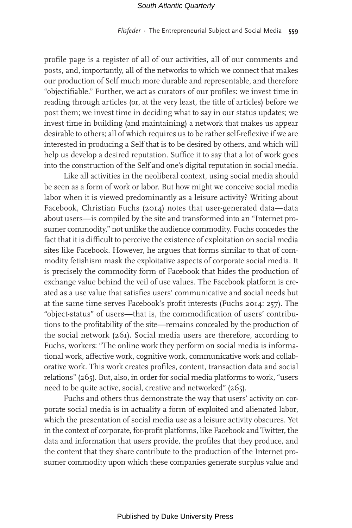profile page is a register of all of our activities, all of our comments and posts, and, importantly, all of the networks to which we connect that makes our production of Self much more durable and representable, and therefore "objectifiable." Further, we act as curators of our profiles: we invest time in reading through articles (or, at the very least, the title of articles) before we post them; we invest time in deciding what to say in our status updates; we invest time in building (and maintaining) a network that makes us appear desirable to others; all of which requires us to be rather self-reflexive if we are interested in producing a Self that is to be desired by others, and which will help us develop a desired reputation. Suffice it to say that a lot of work goes into the construction of the Self and one's digital reputation in social media.

Like all activities in the neoliberal context, using social media should be seen as a form of work or labor. But how might we conceive social media labor when it is viewed predominantly as a leisure activity? Writing about Facebook, Christian Fuchs (2014) notes that user-generated data—data about users—is compiled by the site and transformed into an "Internet prosumer commodity," not unlike the audience commodity. Fuchs concedes the fact that it is difficult to perceive the existence of exploitation on social media sites like Facebook. However, he argues that forms similar to that of commodity fetishism mask the exploitative aspects of corporate social media. It is precisely the commodity form of Facebook that hides the production of exchange value behind the veil of use values. The Facebook platform is created as a use value that satisfies users' communicative and social needs but at the same time serves Facebook's profit interests (Fuchs 2014: 257). The "object-status" of users—that is, the commodification of users' contributions to the profitability of the site—remains concealed by the production of the social network (261). Social media users are therefore, according to Fuchs, workers: "The online work they perform on social media is informational work, affective work, cognitive work, communicative work and collaborative work. This work creates profiles, content, transaction data and social relations" (265). But, also, in order for social media platforms to work, "users need to be quite active, social, creative and networked" (265).

Fuchs and others thus demonstrate the way that users' activity on corporate social media is in actuality a form of exploited and alienated labor, which the presentation of social media use as a leisure activity obscures. Yet in the context of corporate, for-profit platforms, like Facebook and Twitter, the data and information that users provide, the profiles that they produce, and the content that they share contribute to the production of the Internet prosumer commodity upon which these companies generate surplus value and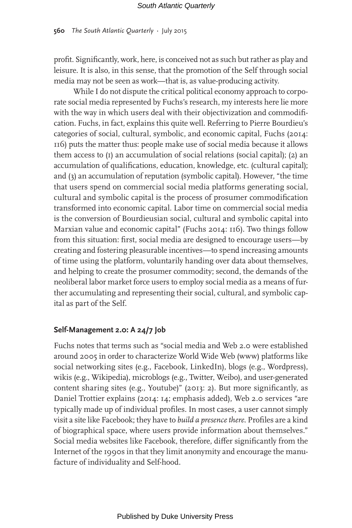profit. Significantly, work, here, is conceived not as such but rather as play and leisure. It is also, in this sense, that the promotion of the Self through social media may not be seen as work—that is, as value-producing activity.

While I do not dispute the critical political economy approach to corporate social media represented by Fuchs's research, my interests here lie more with the way in which users deal with their objectivization and commodification. Fuchs, in fact, explains this quite well. Referring to Pierre Bourdieu's categories of social, cultural, symbolic, and economic capital, Fuchs (2014: 116) puts the matter thus: people make use of social media because it allows them access to (1) an accumulation of social relations (social capital); (2) an accumulation of qualifications, education, knowledge, etc. (cultural capital); and (3) an accumulation of reputation (symbolic capital). However, "the time that users spend on commercial social media platforms generating social, cultural and symbolic capital is the process of prosumer commodification transformed into economic capital. Labor time on commercial social media is the conversion of Bourdieusian social, cultural and symbolic capital into Marxian value and economic capital" (Fuchs 2014: 116). Two things follow from this situation: first, social media are designed to encourage users—by creating and fostering pleasurable incentives—to spend increasing amounts of time using the platform, voluntarily handing over data about themselves, and helping to create the prosumer commodity; second, the demands of the neoliberal labor market force users to employ social media as a means of further accumulating and representing their social, cultural, and symbolic capital as part of the Self.

## **Self-Management 2.0: A 24/7 Job**

Fuchs notes that terms such as "social media and Web 2.0 were established around 2005 in order to characterize World Wide Web (www) platforms like social networking sites (e.g., Facebook, LinkedIn), blogs (e.g., Wordpress), wikis (e.g., Wikipedia), microblogs (e.g., Twitter, Weibo), and user-generated content sharing sites (e.g., Youtube)" (2013: 2). But more significantly, as Daniel Trottier explains (2014: 14; emphasis added), Web 2.0 services "are typically made up of individual profiles. In most cases, a user cannot simply visit a site like Facebook; they have to *build a presence there*. Profiles are a kind of biographical space, where users provide information about themselves." Social media websites like Facebook, therefore, differ significantly from the Internet of the 1990s in that they limit anonymity and encourage the manufacture of individuality and Self-hood.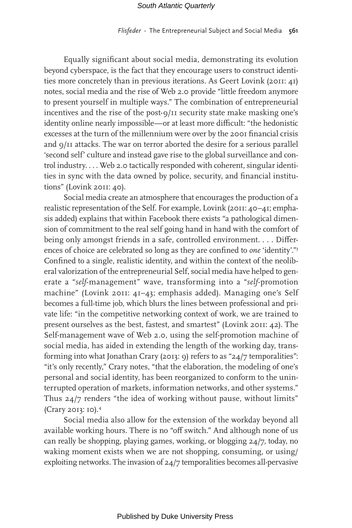Equally significant about social media, demonstrating its evolution beyond cyberspace, is the fact that they encourage users to construct identities more concretely than in previous iterations. As Geert Lovink (2011: 41) notes, social media and the rise of Web 2.0 provide "little freedom anymore to present yourself in multiple ways." The combination of entrepreneurial incentives and the rise of the post-9/11 security state make masking one's identity online nearly impossible—or at least more difficult: "the hedonistic excesses at the turn of the millennium were over by the 2001 financial crisis and 9/11 attacks. The war on terror aborted the desire for a serious parallel 'second self' culture and instead gave rise to the global surveillance and control industry. . . . Web 2.0 tactically responded with coherent, singular identities in sync with the data owned by police, security, and financial institutions" (Lovink 2011: 40).

Social media create an atmosphere that encourages the production of a realistic representation of the Self. For example, Lovink (2011: 40–41; emphasis added) explains that within Facebook there exists "a pathological dimension of commitment to the real self going hand in hand with the comfort of being only amongst friends in a safe, controlled environment. . . . Differences of choice are celebrated so long as they are confined to *one* 'identity'."3 Confined to a single, realistic identity, and within the context of the neoliberal valorization of the entrepreneurial Self, social media have helped to generate a "*self*-management" wave, transforming into a "*self*-promotion machine" (Lovink 2011: 41–43; emphasis added). Managing one's Self becomes a full-time job, which blurs the lines between professional and private life: "in the competitive networking context of work, we are trained to present ourselves as the best, fastest, and smartest" (Lovink 2011: 42). The Self-management wave of Web 2.0, using the self-promotion machine of social media, has aided in extending the length of the working day, transforming into what Jonathan Crary (2013: 9) refers to as "24/7 temporalities": "it's only recently," Crary notes, "that the elaboration, the modeling of one's personal and social identity, has been reorganized to conform to the uninterrupted operation of markets, information networks, and other systems." Thus 24/7 renders "the idea of working without pause, without limits" (Crary 2013: 10).4

Social media also allow for the extension of the workday beyond all available working hours. There is no "off switch." And although none of us can really be shopping, playing games, working, or blogging 24/7, today, no waking moment exists when we are not shopping, consuming, or using/ exploiting networks. The invasion of 24/7 temporalities becomes all-pervasive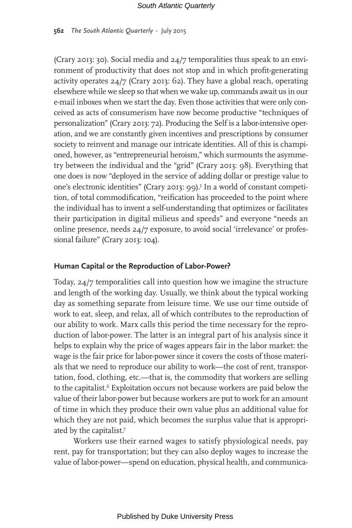(Crary 2013: 30). Social media and 24/7 temporalities thus speak to an environment of productivity that does not stop and in which profit-generating activity operates 24/7 (Crary 2013: 62). They have a global reach, operating elsewhere while we sleep so that when we wake up, commands await us in our e-mail inboxes when we start the day. Even those activities that were only conceived as acts of consumerism have now become productive "techniques of personalization" (Crary 2013: 72). Producing the Self is a labor-intensive operation, and we are constantly given incentives and prescriptions by consumer society to reinvent and manage our intricate identities. All of this is championed, however, as "entrepreneurial heroism," which surmounts the asymmetry between the individual and the "grid" (Crary 2013: 98). Everything that one does is now "deployed in the service of adding dollar or prestige value to one's electronic identities" (Crary 2013: 99).5 In a world of constant competition, of total commodification, "reification has proceeded to the point where the individual has to invent a self-understanding that optimizes or facilitates their participation in digital milieus and speeds" and everyone "needs an online presence, needs 24/7 exposure, to avoid social 'irrelevance' or professional failure" (Crary 2013: 104).

## **Human Capital or the Reproduction of Labor-Power?**

Today, 24/7 temporalities call into question how we imagine the structure and length of the working day. Usually, we think about the typical working day as something separate from leisure time. We use our time outside of work to eat, sleep, and relax, all of which contributes to the reproduction of our ability to work. Marx calls this period the time necessary for the reproduction of labor-power. The latter is an integral part of his analysis since it helps to explain why the price of wages appears fair in the labor market: the wage is the fair price for labor-power since it covers the costs of those materials that we need to reproduce our ability to work—the cost of rent, transportation, food, clothing, etc.—that is, the commodity that workers are selling to the capitalist.<sup>6</sup> Exploitation occurs not because workers are paid below the value of their labor-power but because workers are put to work for an amount of time in which they produce their own value plus an additional value for which they are not paid, which becomes the surplus value that is appropriated by the capitalist.7

Workers use their earned wages to satisfy physiological needs, pay rent, pay for transportation; but they can also deploy wages to increase the value of labor-power—spend on education, physical health, and communica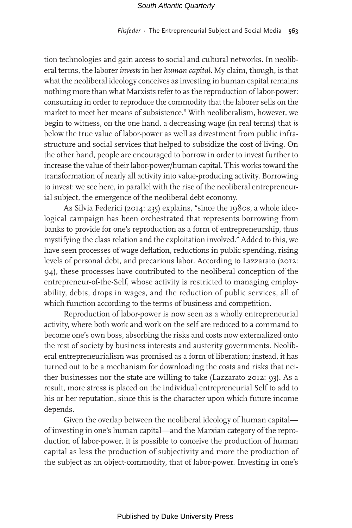tion technologies and gain access to social and cultural networks. In neoliberal terms, the laborer *invests* in her *human capital*. My claim, though, is that what the neoliberal ideology conceives as investing in human capital remains nothing more than what Marxists refer to as the reproduction of labor-power: consuming in order to reproduce the commodity that the laborer sells on the market to meet her means of subsistence.8 With neoliberalism, however, we begin to witness, on the one hand, a decreasing wage (in real terms) that *is* below the true value of labor-power as well as divestment from public infrastructure and social services that helped to subsidize the cost of living. On the other hand, people are encouraged to borrow in order to invest further to increase the value of their labor-power/human capital. This works toward the transformation of nearly all activity into value-producing activity. Borrowing to invest: we see here, in parallel with the rise of the neoliberal entrepreneurial subject, the emergence of the neoliberal debt economy.

As Silvia Federici (2014: 235) explains, "since the 1980s, a whole ideological campaign has been orchestrated that represents borrowing from banks to provide for one's reproduction as a form of entrepreneurship, thus mystifying the class relation and the exploitation involved." Added to this, we have seen processes of wage deflation, reductions in public spending, rising levels of personal debt, and precarious labor. According to Lazzarato (2012: 94), these processes have contributed to the neoliberal conception of the entrepreneur-of-the-Self, whose activity is restricted to managing employability, debts, drops in wages, and the reduction of public services, all of which function according to the terms of business and competition.

Reproduction of labor-power is now seen as a wholly entrepreneurial activity, where both work and work on the self are reduced to a command to become one's own boss, absorbing the risks and costs now externalized onto the rest of society by business interests and austerity governments. Neoliberal entrepreneurialism was promised as a form of liberation; instead, it has turned out to be a mechanism for downloading the costs and risks that neither businesses nor the state are willing to take (Lazzarato 2012: 93). As a result, more stress is placed on the individual entrepreneurial Self to add to his or her reputation, since this is the character upon which future income depends.

Given the overlap between the neoliberal ideology of human capital of investing in one's human capital—and the Marxian category of the reproduction of labor-power, it is possible to conceive the production of human capital as less the production of subjectivity and more the production of the subject as an object-commodity, that of labor-power. Investing in one's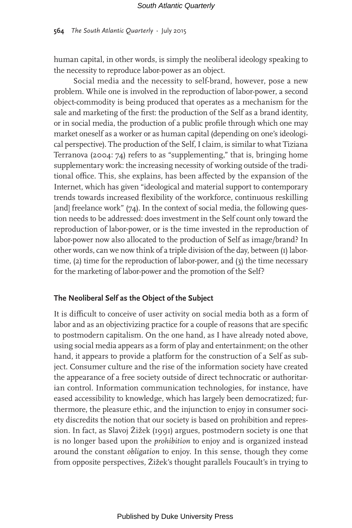human capital, in other words, is simply the neoliberal ideology speaking to the necessity to reproduce labor-power as an object.

Social media and the necessity to self-brand, however, pose a new problem. While one is involved in the reproduction of labor-power, a second object-commodity is being produced that operates as a mechanism for the sale and marketing of the first: the production of the Self as a brand identity, or in social media, the production of a public profile through which one may market oneself as a worker or as human capital (depending on one's ideological perspective). The production of the Self, I claim, is similar to what Tiziana Terranova (2004: 74) refers to as "supplementing," that is, bringing home supplementary work: the increasing necessity of working outside of the traditional office. This, she explains, has been affected by the expansion of the Internet, which has given "ideological and material support to contemporary trends towards increased flexibility of the workforce, continuous reskilling [and] freelance work" (74). In the context of social media, the following question needs to be addressed: does investment in the Self count only toward the reproduction of labor-power, or is the time invested in the reproduction of labor-power now also allocated to the production of Self as image/brand? In other words, can we now think of a triple division of the day, between (1) labortime, (2) time for the reproduction of labor-power, and (3) the time necessary for the marketing of labor-power and the promotion of the Self?

## **The Neoliberal Self as the Object of the Subject**

It is difficult to conceive of user activity on social media both as a form of labor and as an objectivizing practice for a couple of reasons that are specific to postmodern capitalism. On the one hand, as I have already noted above, using social media appears as a form of play and entertainment; on the other hand, it appears to provide a platform for the construction of a Self as subject. Consumer culture and the rise of the information society have created the appearance of a free society outside of direct technocratic or authoritarian control. Information communication technologies, for instance, have eased accessibility to knowledge, which has largely been democratized; furthermore, the pleasure ethic, and the injunction to enjoy in consumer society discredits the notion that our society is based on prohibition and repression. In fact, as Slavoj Žižek (1991) argues, postmodern society is one that is no longer based upon the *prohibition* to enjoy and is organized instead around the constant *obligation* to enjoy. In this sense, though they come from opposite perspectives, Žižek's thought parallels Foucault's in trying to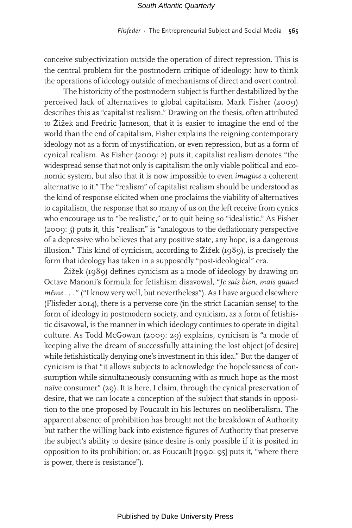conceive subjectivization outside the operation of direct repression. This is the central problem for the postmodern critique of ideology: how to think the operations of ideology outside of mechanisms of direct and overt control.

The historicity of the postmodern subject is further destabilized by the perceived lack of alternatives to global capitalism. Mark Fisher (2009) describes this as "capitalist realism." Drawing on the thesis, often attributed to Žižek and Fredric Jameson, that it is easier to imagine the end of the world than the end of capitalism, Fisher explains the reigning contemporary ideology not as a form of mystification, or even repression, but as a form of cynical realism. As Fisher (2009: 2) puts it, capitalist realism denotes "the widespread sense that not only is capitalism the only viable political and economic system, but also that it is now impossible to even *imagine* a coherent alternative to it." The "realism" of capitalist realism should be understood as the kind of response elicited when one proclaims the viability of alternatives to capitalism, the response that so many of us on the left receive from cynics who encourage us to "be realistic," or to quit being so "idealistic." As Fisher (2009: 5) puts it, this "realism" is "analogous to the deflationary perspective of a depressive who believes that any positive state, any hope, is a dangerous illusion." This kind of cynicism, according to Žižek (1989), is precisely the form that ideology has taken in a supposedly "post-ideological" era.

Žižek (1989) defines cynicism as a mode of ideology by drawing on Octave Manoni's formula for fetishism disavowal, "*Je sais bien, mais quand même .* . . " ("I know very well, but nevertheless"). As I have argued elsewhere (Flisfeder 2014), there is a perverse core (in the strict Lacanian sense) to the form of ideology in postmodern society, and cynicism, as a form of fetishistic disavowal, is the manner in which ideology continues to operate in digital culture. As Todd McGowan (2009: 29) explains, cynicism is "a mode of keeping alive the dream of successfully attaining the lost object [of desire] while fetishistically denying one's investment in this idea." But the danger of cynicism is that "it allows subjects to acknowledge the hopelessness of consumption while simultaneously consuming with as much hope as the most naïve consumer" (29). It is here, I claim, through the cynical preservation of desire, that we can locate a conception of the subject that stands in opposition to the one proposed by Foucault in his lectures on neoliberalism. The apparent absence of prohibition has brought not the breakdown of Authority but rather the willing back into existence figures of Authority that preserve the subject's ability to desire (since desire is only possible if it is posited in opposition to its prohibition; or, as Foucault [1990: 95] puts it, "where there is power, there is resistance").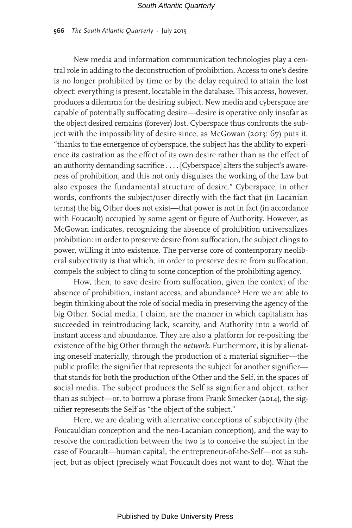#### **566** *The South Atlantic Quarterly* • July 2015

New media and information communication technologies play a central role in adding to the deconstruction of prohibition. Access to one's desire is no longer prohibited by time or by the delay required to attain the lost object: everything is present, locatable in the database. This access, however, produces a dilemma for the desiring subject. New media and cyberspace are capable of potentially suffocating desire—desire is operative only insofar as the object desired remains (forever) lost. Cyberspace thus confronts the subject with the impossibility of desire since, as McGowan (2013: 67) puts it, "thanks to the emergence of cyberspace, the subject has the ability to experience its castration as the effect of its own desire rather than as the effect of an authority demanding sacrifice . . . . [Cyberspace] alters the subject's awareness of prohibition, and this not only disguises the working of the Law but also exposes the fundamental structure of desire." Cyberspace, in other words, confronts the subject/user directly with the fact that (in Lacanian terms) the big Other does not exist—that power is not in fact (in accordance with Foucault) occupied by some agent or figure of Authority. However, as McGowan indicates, recognizing the absence of prohibition universalizes prohibition: in order to preserve desire from suffocation, the subject clings to power, willing it into existence. The perverse core of contemporary neoliberal subjectivity is that which, in order to preserve desire from suffocation, compels the subject to cling to some conception of the prohibiting agency.

How, then, to save desire from suffocation, given the context of the absence of prohibition, instant access, and abundance? Here we are able to begin thinking about the role of social media in preserving the agency of the big Other. Social media, I claim, are the manner in which capitalism has succeeded in reintroducing lack, scarcity, and Authority into a world of instant access and abundance. They are also a platform for re-positing the existence of the big Other through the *network*. Furthermore, it is by alienating oneself materially, through the production of a material signifier—the public profile; the signifier that represents the subject for another signifier that stands for both the production of the Other and the Self, in the spaces of social media. The subject produces the Self as signifier and object, rather than as subject—or, to borrow a phrase from Frank Smecker (2014), the signifier represents the Self as "the object of the subject."

Here, we are dealing with alternative conceptions of subjectivity (the Foucauldian conception and the neo-Lacanian conception), and the way to resolve the contradiction between the two is to conceive the subject in the case of Foucault—human capital, the entrepreneur-of-the-Self—not as subject, but as object (precisely what Foucault does not want to do). What the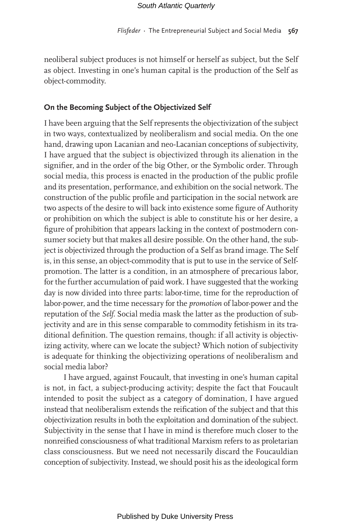neoliberal subject produces is not himself or herself as subject, but the Self as object. Investing in one's human capital is the production of the Self as object-commodity.

## **On the Becoming Subject of the Objectivized Self**

I have been arguing that the Self represents the objectivization of the subject in two ways, contextualized by neoliberalism and social media. On the one hand, drawing upon Lacanian and neo-Lacanian conceptions of subjectivity, I have argued that the subject is objectivized through its alienation in the signifier, and in the order of the big Other, or the Symbolic order. Through social media, this process is enacted in the production of the public profile and its presentation, performance, and exhibition on the social network. The construction of the public profile and participation in the social network are two aspects of the desire to will back into existence some figure of Authority or prohibition on which the subject is able to constitute his or her desire, a figure of prohibition that appears lacking in the context of postmodern consumer society but that makes all desire possible. On the other hand, the subject is objectivized through the production of a Self as brand image. The Self is, in this sense, an object-commodity that is put to use in the service of Selfpromotion. The latter is a condition, in an atmosphere of precarious labor, for the further accumulation of paid work. I have suggested that the working day is now divided into three parts: labor-time, time for the reproduction of labor-power, and the time necessary for the *promotion* of labor-power and the reputation of the *Self*. Social media mask the latter as the production of subjectivity and are in this sense comparable to commodity fetishism in its traditional definition. The question remains, though: if all activity is objectivizing activity, where can we locate the subject? Which notion of subjectivity is adequate for thinking the objectivizing operations of neoliberalism and social media labor?

I have argued, against Foucault, that investing in one's human capital is not, in fact, a subject-producing activity; despite the fact that Foucault intended to posit the subject as a category of domination, I have argued instead that neoliberalism extends the reification of the subject and that this objectivization results in both the exploitation and domination of the subject. Subjectivity in the sense that I have in mind is therefore much closer to the nonreified consciousness of what traditional Marxism refers to as proletarian class consciousness. But we need not necessarily discard the Foucauldian conception of subjectivity. Instead, we should posit his as the ideological form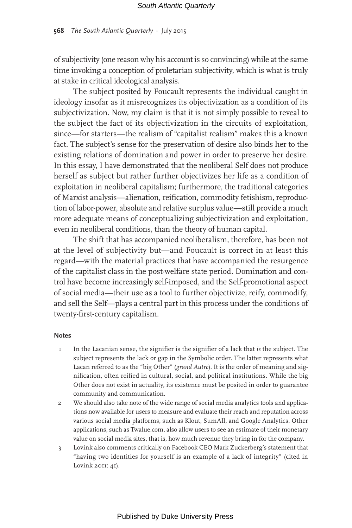of subjectivity (one reason why his account is so convincing) while at the same time invoking a conception of proletarian subjectivity, which is what is truly at stake in critical ideological analysis.

The subject posited by Foucault represents the individual caught in ideology insofar as it misrecognizes its objectivization as a condition of its subjectivization. Now, my claim is that it is not simply possible to reveal to the subject the fact of its objectivization in the circuits of exploitation, since—for starters—the realism of "capitalist realism" makes this a known fact. The subject's sense for the preservation of desire also binds her to the existing relations of domination and power in order to preserve her desire. In this essay, I have demonstrated that the neoliberal Self does not produce herself as subject but rather further objectivizes her life as a condition of exploitation in neoliberal capitalism; furthermore, the traditional categories of Marxist analysis—alienation, reification, commodity fetishism, reproduction of labor-power, absolute and relative surplus value—still provide a much more adequate means of conceptualizing subjectivization and exploitation, even in neoliberal conditions, than the theory of human capital.

The shift that has accompanied neoliberalism, therefore, has been not at the level of subjectivity but—and Foucault is correct in at least this regard—with the material practices that have accompanied the resurgence of the capitalist class in the post-welfare state period. Domination and control have become increasingly self-imposed, and the Self-promotional aspect of social media—their use as a tool to further objectivize, reify, commodify, and sell the Self—plays a central part in this process under the conditions of twenty-first-century capitalism.

#### **Notes**

- 1 In the Lacanian sense, the signifier is the signifier of a lack that *is* the subject. The subject represents the lack or gap in the Symbolic order. The latter represents what Lacan referred to as the "big Other" (*grand Autre*). It is the order of meaning and signification, often reified in cultural, social, and political institutions. While the big Other does not exist in actuality, its existence must be posited in order to guarantee community and communication.
- 2 We should also take note of the wide range of social media analytics tools and applications now available for users to measure and evaluate their reach and reputation across various social media platforms, such as Klout, SumAll, and Google Analytics. Other applications, such as Twalue.com, also allow users to see an estimate of their monetary value on social media sites, that is, how much revenue they bring in for the company.
- 3 Lovink also comments critically on Facebook CEO Mark Zuckerberg's statement that "having two identities for yourself is an example of a lack of integrity" (cited in Lovink 2011: 41).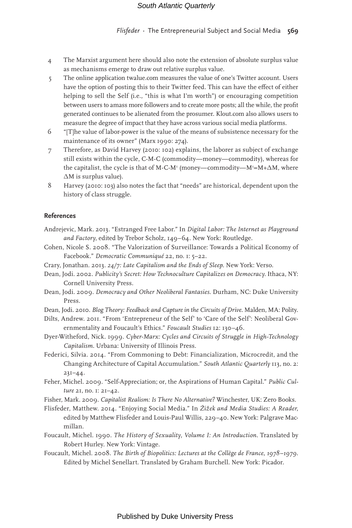#### South Atlantic Quarterly

- 4 The Marxist argument here should also note the extension of absolute surplus value as mechanisms emerge to draw out relative surplus value.
- 5 The online application twalue.com measures the value of one's Twitter account. Users have the option of posting this to their Twitter feed. This can have the effect of either helping to sell the Self (i.e., "this is what I'm worth") or encouraging competition between users to amass more followers and to create more posts; all the while, the profit generated continues to be alienated from the prosumer. Klout.com also allows users to measure the degree of impact that they have across various social media platforms.
- 6 "[T]he value of labor-power is the value of the means of subsistence necessary for the maintenance of its owner" (Marx 1990: 274).
- 7 Therefore, as David Harvey (2010: 102) explains, the laborer as subject of exchange still exists within the cycle, C-M-C (commodity—money—commodity), whereas for the capitalist, the cycle is that of M-C-M<sup>1</sup> (money—commodity—M<sup>1</sup>=M+ $\Delta$ M, where ΔM is surplus value).
- 8 Harvey (2010: 103) also notes the fact that "needs" are historical, dependent upon the history of class struggle.

#### **References**

- Andrejevic, Mark. 2013. "Estranged Free Labor." In *Digital Labor: The Internet as Playground and Factory*, edited by Trebor Scholz, 149–64. New York: Routledge.
- Cohen, Nicole S. 2008. "The Valorization of Surveillance: Towards a Political Economy of Facebook." *Democratic Communiqué* 22, no. 1: 5–22.
- Crary, Jonathan. 2013. *24/7: Late Capitalism and the Ends of Sleep*. New York: Verso.
- Dean, Jodi. 2002. *Publicity's Secret: How Technoculture Capitalizes on Democracy*. Ithaca, NY: Cornell University Press.
- Dean, Jodi. 2009. *Democracy and Other Neoliberal Fantasies*. Durham, NC: Duke University Press.
- Dean, Jodi. 2010. *Blog Theory: Feedback and Capture in the Circuits of Drive*. Malden, MA: Polity.
- Dilts, Andrew. 2011. "From 'Entrepreneur of the Self' to 'Care of the Self': Neoliberal Governmentality and Foucault's Ethics." *Foucault Studies* 12: 130–46.
- Dyer-Witheford, Nick. 1999. *Cyber-Marx: Cycles and Circuits of Struggle in High-Technology Capitalism*. Urbana: University of Illinois Press.
- Federici, Silvia. 2014. "From Commoning to Debt: Financialization, Microcredit, and the Changing Architecture of Capital Accumulation." *South Atlantic Quarterly* 113, no. 2: 231–44.
- Feher, Michel. 2009. "Self-Appreciation; or, the Aspirations of Human Capital." *Public Culture* 21, no. 1: 21–42.
- Fisher, Mark. 2009. *Capitalist Realism: Is There No Alternative?* Winchester, UK: Zero Books.
- Flisfeder, Matthew. 2014. "Enjoying Social Media." In *Žižek and Media Studies: A Reader*, edited by Matthew Flisfeder and Louis-Paul Willis, 229–40. New York: Palgrave Macmillan.
- Foucault, Michel. 1990. *The History of Sexuality, Volume I: An Introduction*. Translated by Robert Hurley. New York: Vintage.
- Foucault, Michel. 2008. *The Birth of Biopolitics: Lectures at the Collège de France, 1978–1979*. Edited by Michel Senellart. Translated by Graham Burchell. New York: Picador.